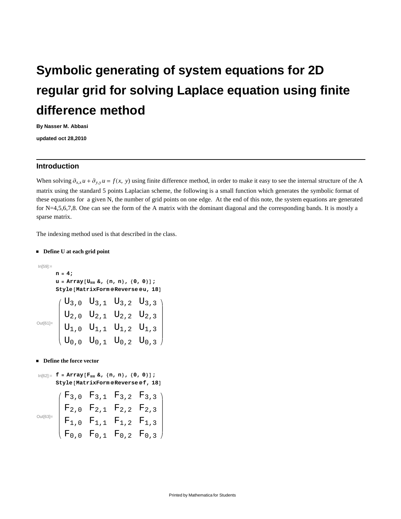# **Symbolic generating of system equations for 2D regular grid for solving Laplace equation using finite difference method**

**By Nasser M. Abbasi**

**updated oct 28,2010**

### **Introduction**

When solving  $\partial_{x,x} u + \partial_{y,y} u = f(x, y)$  using finite difference method, in order to make it easy to see the internal structure of the A matrix using the standard 5 points Laplacian scheme, the following is a small function which generates the symbolic format of these equations for a given N, the number of grid points on one edge. At the end of this note, the system equations are generated for N=4,5,6,7,8. One can see the form of the A matrix with the dominant diagonal and the corresponding bands. It is mostly a sparse matrix.

The indexing method used is that described in the class.

#### **Define U at each grid point**

 $In [59] :=$ 

```
n = 4;
u = Array [U_{\text{HH}} \& I, \{n, n\}, \{0, 0\}];
Style[MatrixForm@Reverse@u, 18]
```

|  | $\left( \begin{array}{llllll} {\rm U}_{3\,,\,0}& {\rm U}_{3\,,\,1}& {\rm U}_{3\,,\,2}& {\rm U}_{3\,,\,3}\\[1mm] {\rm U}_{2\,,\,0}& {\rm U}_{2\,,\,1}& {\rm U}_{2\,,\,2}& {\rm U}_{2\,,\,3}\\[1mm] {\rm U}_{1\,,\,0}& {\rm U}_{1\,,\,1}& {\rm U}_{1\,,\,2}& {\rm U}_{1\,,\,3}\\[1mm] {\rm U}_{0\,,\,0}& {\rm U}_{0\,,\,1}& {\rm U}_{0\,,\,2}& {\rm U}_{0\,,\,3}\\ \end{array} \right)$ |  |  |
|--|---------------------------------------------------------------------------------------------------------------------------------------------------------------------------------------------------------------------------------------------------------------------------------------------------------------------------------------------------------------------------------------|--|--|
|  |                                                                                                                                                                                                                                                                                                                                                                                       |  |  |

 $\blacksquare$  **Define the force vector** 

```
\ln[62] := f = Array [F_{\text{HH}} \&, \{n, n\}, \{0, 0\};
      Style@MatrixForm Reverse f, 18D
Out[63]=
         F_3, 0 F_3, 1 F_3, 2 F_3, 3F_2, F_2, F_2, F_2, F_2, F_3F_{1,0} F_{1,1} F_{1,2} F_{1,3}F_{0,0} F_{0,1} F_{0,2} F_{0,3}
```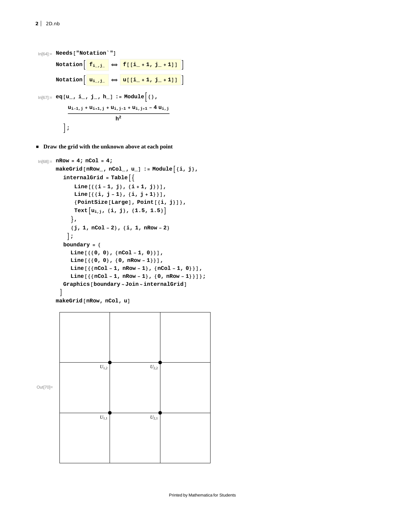```
\ln[64] := \text{Needs} ["Notation`"]
                   \text{Notation}\left[\begin{array}{c}\mathbf{f}_{i_{-},j_{-}}\end{array}\right\} \Leftrightarrow \left[\begin{array}{c}\mathbf{f}[(i_{-}+1, j_{-}+1)]\end{array}\right]\begin{bmatrix} \mathbf{u}_{i_{-},j_{-}} \end{bmatrix} \Leftrightarrow \begin{bmatrix} \mathbf{u} \begin{bmatrix} i_{-}+1, j_{-}+1 \end{bmatrix} \end{bmatrix}\ln[67] := eq \left[u_{-}, i_{-}, j_{-}, h_{-}\right] := Module \left\{\right\},
                                \mathbf{u}_{\mathbf{i-1},\mathbf{j}} + \mathbf{u}_{\mathbf{i+1},\mathbf{j}} + \mathbf{u}_{\mathbf{i},\mathbf{j-1}} + \mathbf{u}_{\mathbf{i},\mathbf{j+1}} - 4\mathbf{u}_{\mathbf{i},\mathbf{j}}h
2
                            F;
```
**Draw the grid with the unknown above at each point** 

```
In[68]:= nRow = 4; nCol = 4;
          \texttt{makeGrid} [\texttt{nRow}, \texttt{nCol}, \texttt{u}_] := \texttt{Module} \{\texttt{i}, \texttt{j}\},
               internalGrid = Table <math>\left\{ \right\}\text{Line}\left[\left\{\left\{\text{i} - \text{1}, \text{j}\right\}, \left\{\text{i} + \text{1}, \text{j}\right\}\right\}\right],line[(\{i, j - 1), (\{i, j + 1\})],8PointSize@LargeD, Point@8i, j<D<,
                     \text{Text}\left[u_{i,j},\{i,j\},\{1.5,1.5\}\right]=,
                   \{j, 1, n \text{Col} - 2\}, \{i, 1, n \text{Row} - 2\}\left| \cdot \right|boundary = 8
                   \text{Line}[\{\{0, 0\}, \{\text{nCol} - 1, 0\}\}],\text{Line}[\{\{0, 0\}, \{0, \text{ nRow} - 1\}\}],\text{Line}\left[\left\{\text{f(Col - 1, nRow - 1}, \text{f(Col - 1, 0)}\right\}\right],\text{Line}\left[\left\{\text{f(}n\text{Col}-1\text{,}n\text{Row}-1\text{,}\text{)}\right\},\text{f(}0\text{,}n\text{Row}-1\text{)}\right]\}\};
             \overline{\phantom{a}}makeGrid[nRow, nCol, u]
```
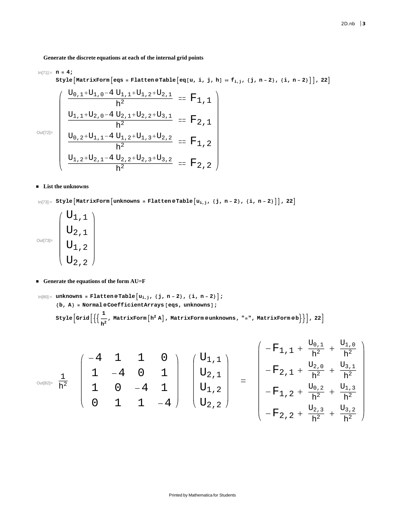**Generate the discrete equations at each of the internal grid points**

$$
\ln[71] := n = 4;
$$

$$
\texttt{Style}\left[\texttt{MatrixForm}\left[\texttt{eqs = Flattene Table}\left[\texttt{eq}[u, i, j, h] = f_{i,j}, \{j, n-2\}, \{i, n-2\}\right]\right], 22\right]
$$

Out[72]=

$$
\begin{cases}\n\frac{U_{0,1}+U_{1,0}-4 U_{1,1}+U_{1,2}+U_{2,1}}{h^2} = F_{1,1} \\
\frac{U_{1,1}+U_{2,0}-4 U_{2,1}+U_{2,2}+U_{3,1}}{h^2} = F_{2,1} \\
\frac{U_{0,2}+U_{1,1}-4 U_{1,2}+U_{1,3}+U_{2,2}}{h^2} = F_{1,2} \\
\frac{U_{1,2}+U_{2,1}-4 U_{2,2}+U_{3,3}+U_{2,2}}{h^2} = F_{1,2} \\
\frac{U_{1,2}+U_{2,1}-4 U_{2,2}+U_{2,3}+U_{3,2}}{h^2} = F_{2,2}\n\end{cases}
$$

#### **List the unknowns**

 $\ln [73] := \texttt{Style}\left[\texttt{MatrixForm}\left[\texttt{unknowns = Flatten@Table}\left[u_{i,j}, \texttt{\{j, n-2\}, \{i, n-2\}}\right]\right], 22\right]$ 

Out[73]=  $\mathrm{U}_{1$  ,  $1$  $\overline{U}_{2,1}$  $\mathrm{U}_{1$ , 2  $\mathrm{U}_{2,2}$ 

#### **Generate the equations of the form AU=F**

```
\ln[80] := unknowns = Flatten @Table \left[\mu_{i,j}, \{j, n-2\}, \{i, n-2\}\right];
            \{b, a\} = Normal@CoefficientArrays [eqs, unknowns];
              \texttt{Style}\Big[\texttt{Grid}\Big[\{\Big\{\frac{1}{n}\Big\}\left\{\textbf{h}^2,\textbf{M}\textbf{a}\textbf{t}: \textbf{h}^2\textbf{h}\right\} , \textbf{M}\textbf{a}\textbf{t}: \textbf{x}\textbf{F}orm @unknowns , "=" , \textbf{M}\textbf{a}\textbf{t}: \textbf{x}\textbf{F}orm @b\textbf{h}\right\} , 22 \textbf{h}^2
```

$$
\text{Out(82]}=\begin{array}{c} \frac{1}{h^2} \\ \frac{1}{h^2} \end{array}\quad \left(\begin{array}{rrrrr} -4 & 1 & 1 & 0 \\ 1 & -4 & 0 & 1 \\ 1 & 0 & -4 & 1 \\ 0 & 1 & 1 & -4 \end{array}\right) \quad \left(\begin{array}{c} U_{1,1} \\ U_{2,1} \\ U_{1,2} \\ U_{2,2} \end{array}\right) \quad = \quad \left(\begin{array}{rrrrr} -F_{1,1} + \frac{U_{0,1}}{h^2} + \frac{U_{1,0}}{h^2} \\ -F_{2,1} + \frac{U_{2,0}}{h^2} + \frac{U_{3,1}}{h^2} \\ -F_{1,2} + \frac{U_{0,2}}{h^2} + \frac{U_{1,3}}{h^2} \\ -F_{2,2} + \frac{U_{2,3}}{h^2} + \frac{U_{3,2}}{h^2} \end{array}\right)
$$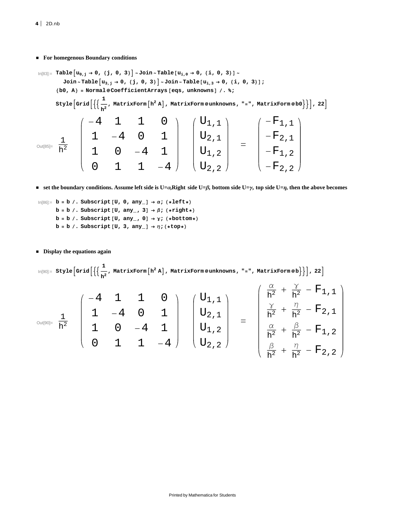**For homegenous Boundary conditions**

$$
\lim_{|n[83]:=}\text{Table}[u_{0,j} \rightarrow 0, \{j, 0, 3\}] \sim \text{Join} \sim \text{Table}[u_{i,0} \rightarrow 0, \{i, 0, 3\}] \sim \text{Join} \sim \text{Table}[u_{i,3} \rightarrow 0, \{i, 0, 3\}] \sim \text{Join} \sim \text{Table}[u_{i,3} \rightarrow 0, \{i, 0, 3\}] \sim \text{Join} \sim \text{Table}[u_{i,3} \rightarrow 0, \{i, 0, 3\}] \sim \text{Join} \sim \text{Table}[u_{i,3} \rightarrow 0, \{i, 0, 3\}] \sim \text{Join} \sim \text{Table}[u_{i,3} \rightarrow 0, \{i, 0, 3\}] \sim \text{Join} \sim \text{Table}[u_{i,3} \rightarrow 0, \{i, 0, 3\}] \sim \text{Join} \sim \text{Table}[u_{i,3} \rightarrow 0, \{i, 0, 3\}] \sim \text{Join} \sim \text{Table}[u_{i,3} \rightarrow 0, \{i, 0, 3\}] \sim \text{Join} \sim \text{Table}[u_{i,3} \rightarrow 0, \{i, 0, 3\}] \sim \text{Join} \sim \text{Table}[u_{i,3} \rightarrow 0, \{i, 0, 3\}] \sim \text{Join} \sim \text{Table}[u_{i,3} \rightarrow 0, \{i, 0, 3\}] \sim \text{Join} \sim \text{Table}[u_{i,3} \rightarrow 0, \{i, 0, 3\}] \sim \text{Join} \sim \text{Table}[u_{i,3} \rightarrow 0, \{i, 0, 3\}] \sim \text{Join} \sim \text{Table}[u_{i,3} \rightarrow 0, \{i, 0, 3\}] \sim \text{Join} \sim \text{Table}[u_{i,3} \rightarrow 0, \{i, 0, 3\}] \sim \text{Join} \sim \text{Table}[u_{i,3} \rightarrow 0, \{i, 0, 3\}] \sim \text{Join} \sim \text{Table}[u_{i,3} \rightarrow 0, \{i, 0, 3\}] \sim \text{Join} \sim \text{Table}[u_{i,3} \rightarrow 0, \{i, 0, 3\}] \sim \text{Join} \sim \text{Table}[u_{i,3} \rightarrow 0, \{i, 0, 3\}] \sim \text
$$

**set the boundary conditions. Assume left side is U=Α,Right side U=Β, bottom side U=Γ, top side U=Η, then the above becomes**

 $\ln[86] :=$  **b** = **b** /. Subscript [U, 0, any\_]  $\rightarrow \alpha$ ; (\*left\*)  $b = b$  /. Subscript  $[U, any_ 3] \rightarrow \beta$ ;  $(*right*)$ **b** = **b** /. Subscript [U, any\_, 0]  $\rightarrow \gamma$ ; (\*bottom\*)  $\mathbf{b} = \mathbf{b}$  / . Subscript  $[\mathbf{U, \ 3, \ any_{-}]\rightarrow \eta; (\star \mathtt{top} \star)$ 

#### **Display the equations again**

 $\ln[90]:=$  **Style**  $\left[\text{Grid}\right]\left\{\left\{\frac{1}{n}\right\}$  $\left[\frac{\mathbf{h}^2}{\mathbf{h}^2} \mathbf{A}\right]$ , MatrixForm@unknowns, "=", MatrixForm@b $\left\{\frac{1}{2}\right\}$ , 22 $\left[\frac{\mathbf{h}^2}{\mathbf{h}^2} \mathbf{A}\right]$ 

$$
\text{Out(90]}=\begin{array}{c} \frac{1}{h^2} \\ \frac{1}{h^2} \end{array}\quad \left(\begin{array}{rrrr} -4 & 1 & 1 & 0 \\ 1 & -4 & 0 & 1 \\ 1 & 0 & -4 & 1 \\ 0 & 1 & 1 & -4 \end{array}\right) \quad \left(\begin{array}{c} U_{1,1} \\ U_{2,1} \\ U_{1,2} \\ U_{2,2} \end{array}\right) \quad = \quad \left(\begin{array}{c} \frac{\alpha}{h^2}+\frac{\gamma}{h^2}-F_{1,1} \\ \frac{\gamma}{h^2}+\frac{\eta}{h^2}-F_{2,1} \\ \frac{\alpha}{h^2}+\frac{\beta}{h^2}-F_{1,2} \\ \frac{\beta}{h^2}+\frac{\eta}{h^2}-F_{2,2} \end{array}\right)
$$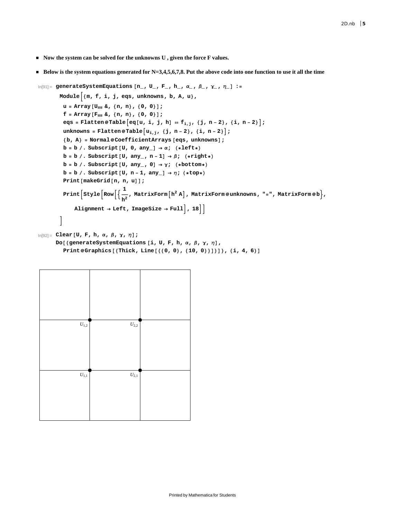- **Now the system can be solved for the unknowns U, given the force F values.**
- **Below is the system equations generated for N=3,4,5,6,7,8. Put the above code into one function to use it all the time**

```
In[91]:= generateSystemEquations @n_, U_, F_, h_, Α_, Β_, Γ_ , Η_D :=
          Module \left\{ \{ \text{m}, \text{f}, \text{i}, \text{j}, \text{eqs}, \text{unknowns}, \text{b}, \text{A}, \text{u} \right\},u = Array [U_{\text{un}} \&, \{n, n\}, \{0, 0\};
            f = \text{Array}[F_{\text{num}} \& , \{n, n\}, \{0, 0\}];eqs = Flatten@Table [eq[u, i, j, h] = f_{i,j}, \{j, n-2\}, \{i, n-2\}];
            \text{unknowns} = \text{Flatten@Table}\left[\{u_{i,j},\{j, n-2\}, \{i, n-2\}\right]{b, A} = Normal@CoefficientArrays [eqs, unknowns];
            b = b /. Subscript [U, 0, \text{any}_] \rightarrow \alpha; (*left*)
            b = b /. Subscript [U, any_1, n-1] \rightarrow \beta; (*right*)b = b /. Subscript [U, any_ 0] \rightarrow \gamma; (*bottom*)
            b = b /. Subscript [U, n-1, \text{any}_] \rightarrow \eta; (*top*)
            \text{Print}[\text{makeGrid}[n, n, u]]\texttt{Print}\left[\texttt{Style}\left[\texttt{Row}\right[\{\frac{1}{n}\}\right]\frac{1}{2}, MatrixForm\left[ h^2 | A \right], MatrixForm@unknowns, "=", MatrixForm@b},
                 \text{Alignment} \rightarrow \text{Left}, \text{ImageSize} \rightarrow \text{Full}, 18<sup>]</sup>
          F
```

```
In[92]:= Clear@U, F, h, Α, Β, Γ, ΗD;
```

```
Do[{generateSystemEquations [i, U, F, h, α, β, γ, η],
  Print Graphics@8Thick, Line@880, 0<, 810, 0<<D<D<, 8i, 4, 6<D
```

| $U_{1,2}$        | $U_{2,2}$        |  |
|------------------|------------------|--|
|                  |                  |  |
|                  |                  |  |
|                  |                  |  |
| ${\cal U}_{1,1}$ | ${\cal U}_{2,1}$ |  |
|                  |                  |  |
|                  |                  |  |
|                  |                  |  |
|                  |                  |  |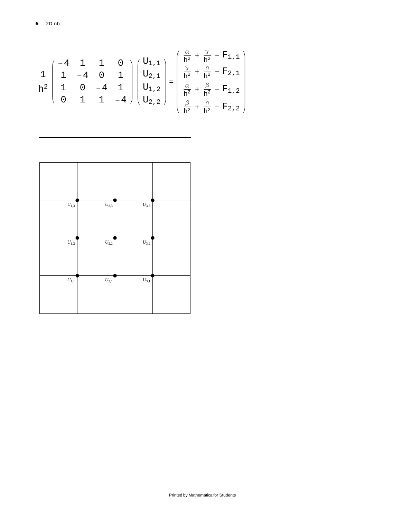$$
\frac{1}{h^2} \begin{pmatrix} -4 & 1 & 1 & 0 \\ 1 & -4 & 0 & 1 \\ 1 & 0 & -4 & 1 \\ 0 & 1 & 1 & -4 \end{pmatrix} \begin{pmatrix} U_{1,1} \\ U_{2,1} \\ U_{1,2} \\ U_{2,2} \end{pmatrix} = \begin{pmatrix} \frac{\alpha}{h^2} + \frac{\gamma}{h^2} - F_{1,1} \\ \frac{\gamma}{h^2} + \frac{\eta}{h^2} - F_{2,1} \\ \frac{\alpha}{h^2} + \frac{\beta}{h^2} - F_{1,2} \\ \frac{\beta}{h^2} + \frac{\eta}{h^2} - F_{2,2} \end{pmatrix}
$$

| ${\cal U}_{1,3}$ | $U_{2,3}$        | $U_{3,3}$ |  |
|------------------|------------------|-----------|--|
| $U_{\rm 1,2}$    | $U_{\rm 2,2}$    | $U_{3,2}$ |  |
| $U_{1,1}$        | ${\cal U}_{2,1}$ | $U_{3,1}$ |  |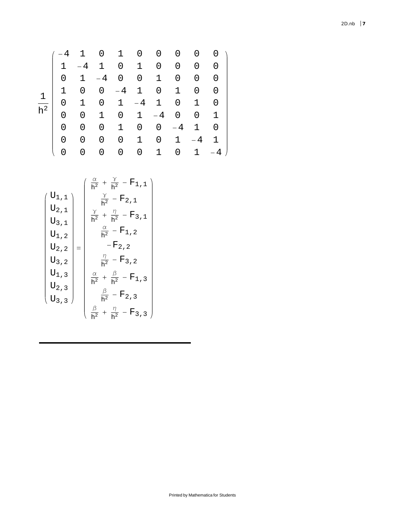## 1  $h^2$ -4 1 0 1 0 0 0 0 0 1 -4 1 0 1 0 0 0 0 0 1 -4 0 0 1 0 0 0 1 0 0 -4 1 0 1 0 0 0 1 0 1 -4 1 0 1 0 0 0 1 0 1 -4 0 0 1 0 0 0 1 0 0 -4 1 0 0 0 0 0 1 0 1 -4 1

0 0 0 0 0 1 0 1 -4

$$
\begin{pmatrix}\nU_{1,1} \\
U_{2,1} \\
U_{3,1} \\
U_{1,2} \\
U_{2,3} \\
U_{1,3} \\
U_{2,3} \\
U_{3,1}\n\end{pmatrix} = \begin{pmatrix}\n\frac{\alpha}{h^2} + \frac{\gamma}{h^2} - F_{1,1} \\
\frac{\gamma}{h^2} - F_{2,1} \\
\frac{\gamma}{h^2} + \frac{\eta}{h^2} - F_{3,1} \\
\frac{\alpha}{h^2} - F_{1,2} \\
-F_{2,2} \\
-F_{2,2} \\
\frac{\eta}{h^2} - F_{3,2} \\
\frac{\alpha}{h^2} + \frac{\beta}{h^2} - F_{1,3} \\
U_{2,3} \\
\frac{\beta}{h^2} + \frac{\beta}{h^2} - F_{2,3} \\
\frac{\beta}{h^2} + \frac{\eta}{h^2} - F_{3,3}\n\end{pmatrix}
$$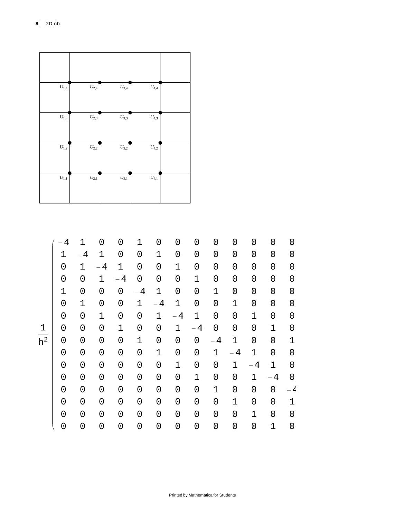| ${\cal U}_{1,4}$ | $U_{2,4}$ | $U_{3,4}$        | $U_{4,4}$ |  |
|------------------|-----------|------------------|-----------|--|
| $U_{1,3}$        | $U_{2,3}$ | ${\cal U}_{3,3}$ | $U_{4,3}$ |  |
| $U_{1,2}$        | $U_{2,2}$ | $U_{3,2}$        | $U_{4,2}$ |  |
| $\bar{U}_{1,1}$  | $U_{2,1}$ | $U_{3,1}$        | $U_{4,1}$ |  |

 $h^2$ 

| 4 | 1   | 0           | 0           | 1           | 0    | 0    | 0              | 0           | 0           | 0                   | 0           | 0   |
|---|-----|-------------|-------------|-------------|------|------|----------------|-------------|-------------|---------------------|-------------|-----|
| 1 | - 4 | 1           | 0           | 0           | 1    | 0    | 0              | 0           | 0           | 0                   | 0           | 0   |
| 0 | 1   | $-4$        | $\mathbf 1$ | 0           | 0    | 1    | 0              | 0           | 0           | 0                   | 0           | 0   |
| 0 | 0   | 1           | $-4$        | 0           | 0    | 0    | 1              | 0           | 0           | $\mathsf{O}\xspace$ | 0           | 0   |
| 1 | 0   | 0           | 0           | $-4$        | 1    | 0    | 0              | 1           | 0           | 0                   | 0           | 0   |
| 0 | 1   | 0           | 0           | $\mathbf 1$ | $-4$ | 1    | 0              | 0           | 1           | 0                   | 0           | 0   |
| 0 | 0   | $\mathbf 1$ | 0           | 0           | 1    | $-4$ | $\mathbf 1$    | 0           | 0           | $\mathbf 1$         | 0           | 0   |
| 0 | 0   | 0           | 1           | 0           | 0    | 1    | $-4$           | 0           | 0           | 0                   | 1           | 0   |
| 0 | 0   | $\mathbf 0$ | 0           | 1           | 0    | 0    | $\overline{0}$ | $-4$        | $\mathbf 1$ | 0                   | 0           | 1   |
| 0 | 0   | 0           | 0           | 0           | 1    | 0    | 0              | 1           | - 4         | $\mathbf 1$         | 0           | 0   |
| 0 | 0   | $\mathbf 0$ | 0           | 0           | 0    | 1    | 0              | 0           | 1           | $-4$                | $\mathbf 1$ | 0   |
| 0 | 0   | 0           | 0           | $\mathbf 0$ | 0    | 0    | $\mathbf 1$    | 0           | 0           | $\mathbf 1$         | $-4$        | 0   |
| 0 | 0   | 0           | 0           | 0           | 0    | 0    | 0              | $\mathbf 1$ | 0           | 0                   | 0           | – 4 |
| 0 | 0   | 0           | 0           | 0           | 0    | 0    | 0              | 0           | 1           | 0                   | 0           | 1   |
| 0 | 0   | 0           | 0           | 0           | 0    | 0    | 0              | 0           | 0           | $\mathbf 1$         | 0           | 0   |
| 0 | 0   | 0           | 0           | 0           | 0    | 0    | 0              | 0           | 0           | 0                   | 1           | 0   |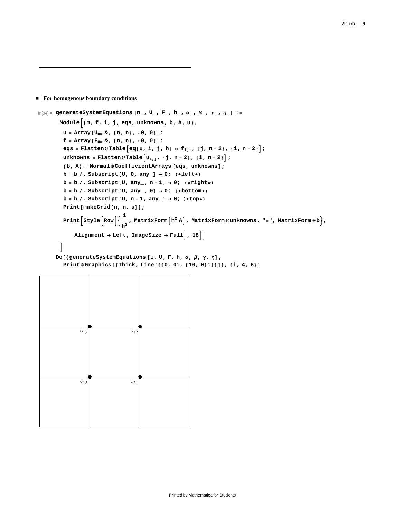#### **For homogenous boundary conditions**

```
In[94]:= generateSystemEquations @n_, U_, F_, h_, Α_, Β_, Γ_ , Η_D :=
           Module \left\{ \{ \mathfrak{m}, \mathfrak{f}, \mathfrak{i}, \mathfrak{j}, \text{eqs}, \text{unknowns}, \mathfrak{b}, \mathfrak{A}, \mathfrak{u} \right\},u = Array [U_{\text{un}} \&, \{n, n\}, \{0, 0\};
             f = \text{Array}[F_{\text{num}} \& , \{n, n\}, \{0, 0\}];eqs = Flatten@Table [eq[u, i, j, h] = f_{i,j}, \{j, n-2\}, \{i, n-2\}];
             \text{unknowns} = \text{Flatten@Table}[\{u_{i,j},\{j, n-2\}, \{i, n-2\}\}]{b, A} = Normal@CoefficientArrays [eqs, unknowns];
             b = b /. Subscript [U, 0, any<sub>_</sub>] \rightarrow 0; (*left*)
             b = b /. Subscript [U, any_, n-1] \rightarrow 0; (*right*)\mathbf{b} = \mathbf{b} / . Subscript [\mathbf{U}, \mathbf{any}_{-}, \mathbf{0}] \rightarrow 0; (*bottom*)
             b = b /. Subscript [U, n-1, any_1] \rightarrow 0; (*top*)
             Print[makeGrid[n, n, u]];
              \texttt{Print}\left[\texttt{Style}\left[\texttt{Row}\right[\{\frac{1}{n}\}\right]\left\{\textbf{h}^2,\textbf{M}\right\} h \left\{\textbf{h}^2,\textbf{h}\right\} , \textbf{M}\right\} , \textbf{M}\right\} , \textbf{M}\right\} , \textbf{M}\right\} , \textbf{M}\right\} , \textbf{M}\right\} , \textbf{M}\right\}\text{Alignment} \rightarrow \text{Left}, \text{ImageSize} \rightarrow \text{Full}, 18F
         Do[{generateSystemEquations [i, U, F, h, α, β, γ, η],
             Print @Graphics [\{\text{Thick, Line}\,\text{\texttt{[}}\,\{0, 0\}, \{10, 0\}\}\]\},\{\text{i, 4, 6}\}\]
```

| $U_{1,2}$ | $U_{2,2}$        |  |
|-----------|------------------|--|
|           |                  |  |
| $U_{1,1}$ | ${\cal U}_{2,1}$ |  |
|           |                  |  |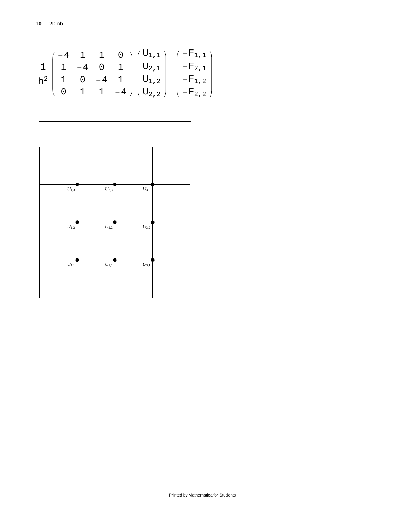**10** *2D.nb*

$$
\frac{1}{h^2} \begin{pmatrix} -4 & 1 & 1 & 0 \\ 1 & -4 & 0 & 1 \\ 1 & 0 & -4 & 1 \\ 0 & 1 & 1 & -4 \end{pmatrix} \begin{pmatrix} U_{1,1} \\ U_{2,1} \\ U_{1,2} \\ U_{2,2} \end{pmatrix} = \begin{pmatrix} -F_{1,1} \\ -F_{2,1} \\ -F_{1,2} \\ -F_{2,2} \end{pmatrix}
$$

| $U_{1,3}$ | ${\cal U}_{2,3}$ | $U_{3,3}$ |  |
|-----------|------------------|-----------|--|
| $U_{1,2}$ | $U_{\rm 2,2}$    | $U_{3,2}$ |  |
| $U_{1,1}$ | $U_{2,1}$        | $U_{3,1}$ |  |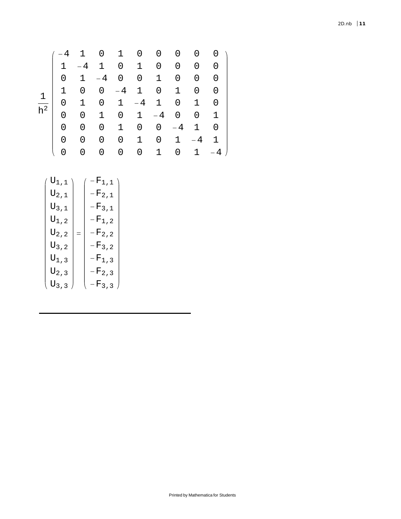$$
\begin{array}{c|cccccc} \left( \begin{array}{cccccc} -4 & 1 & 0 & 1 & 0 & 0 & 0 & 0 & 0 & 0 \\ 1 & -4 & 1 & 0 & 1 & 0 & 0 & 0 & 0 \\ 0 & 1 & -4 & 0 & 0 & 1 & 0 & 0 & 0 \\ 1 & 0 & 0 & -4 & 1 & 0 & 1 & 0 & 0 \\ 0 & 1 & 0 & 1 & -4 & 1 & 0 & 1 & 0 \\ 0 & 0 & 1 & 0 & 1 & -4 & 0 & 0 & 1 \\ 0 & 0 & 0 & 1 & 0 & 0 & -4 & 1 & 0 \\ 0 & 0 & 0 & 0 & 1 & 0 & 1 & -4 & 1 \\ 0 & 0 & 0 & 0 & 0 & 1 & 0 & 1 & -4 \end{array} \right) \end{array}
$$

$$
\begin{pmatrix}\nU_{1,1} \\
U_{2,1} \\
U_{3,1} \\
U_{1,2} \\
U_{2,2} \\
U_{3,3}\n\end{pmatrix} = \begin{pmatrix}\n-F_{1,1} \\
-F_{2,1} \\
-F_{3,1} \\
-F_{1,2} \\
-F_{1,2} \\
-F_{2,2} \\
-F_{3,2} \\
-F_{3,3} \\
F_{3,3}\n\end{pmatrix}
$$